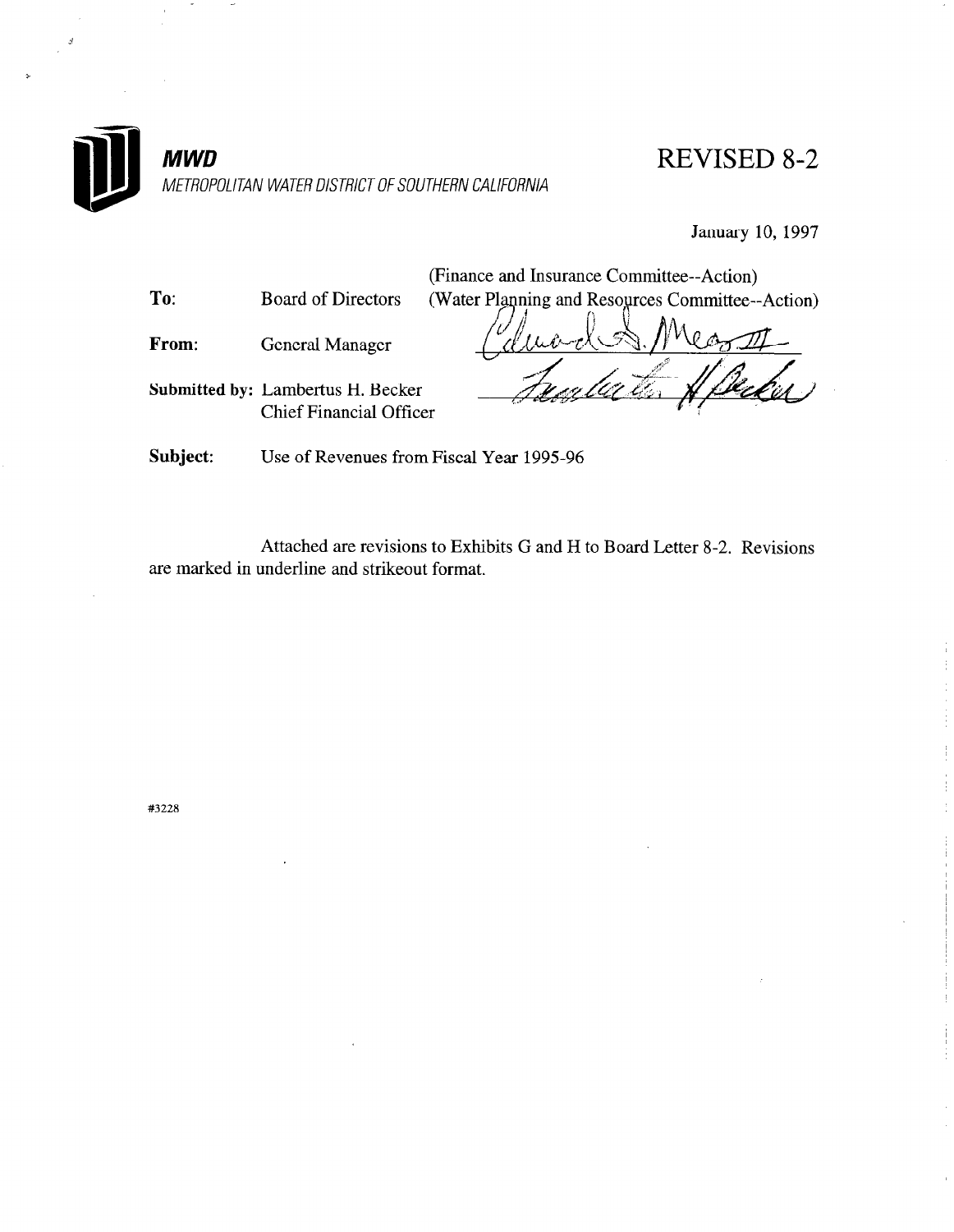

REVISED 8-2

January 10, 1997

(Finance and Insurance Committee--Action) To: Board of Directors (Water Planning and Resources Committee--Action) From: General Manager Submitted by: Lambertus H. Becker Chief Financial Officer Subject: Use of Revenues from Fiscal Year 1995-96

Attached are revisions to Exhibits G and H to Board Letter 8-2. Revisions are marked in underline and strikeout format.

#3228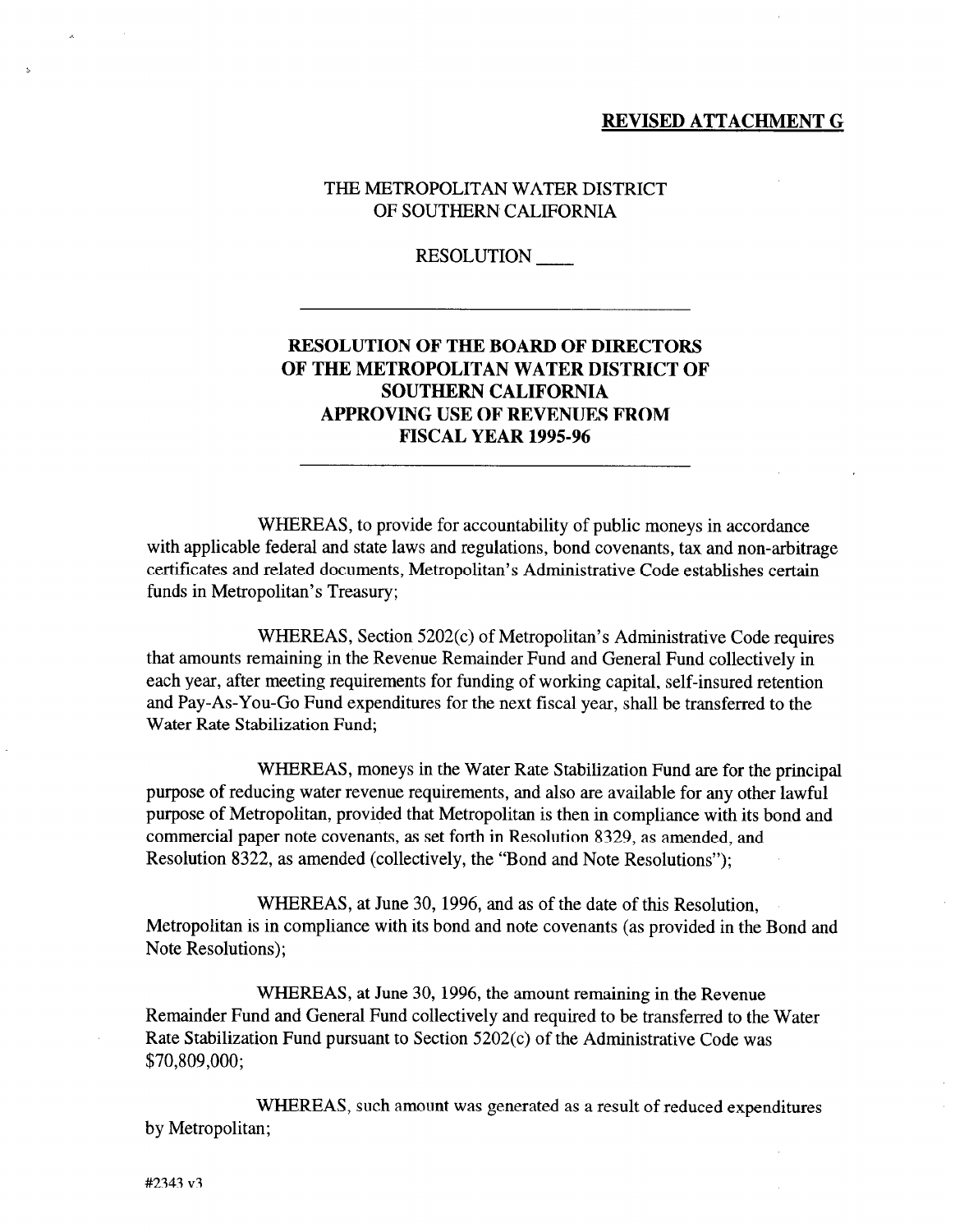#### REVISED ATTACHMENT G

### THE METROPOLITAN WATER DISTRICT OF SOUTHERN CALIFORNIA

RESOLUTION

# RESOLUTION OF THE BOARD OF DIRECTORS OF THE METROPOLITAN WATER DISTRICT OF SOUTHERN CALIFORNIA APPROVING USE OF REVENUES FROM FISCAL YEAR 1995-96

WHEREAS, to provide for accountability of public moneys in accordance with applicable federal and state laws and regulations, bond covenants, tax and non-arbitrage certificates and related documents, Metropolitan's Administrative Code establishes certain funds in Metropolitan's Treasury;

WHEREAS, Section 5202(c) of Metropolitan's Administrative Code requires that amounts remaining in the Revenue Remainder Fund and General Fund collectively in each year, after meeting requirements for funding of working capital, self-insured retention and Pay-As-You-Go Fund expenditures for the next fiscal year, shall be transferred to the Water Rate Stabilization Fund;

WHEREAS, moneys in the Water Rate Stabilization Fund are for the principal purpose of reducing water revenue requirements, and also are available for any other lawful purpose of Metropolitan, provided that Metropolitan is then in compliance with its bond and commercial paper note covenants, as set forth in Resolution 8329, as amended, and Resolution 8322, as amended (collectively, the "Bond and Note Resolutions");

WHEREAS, at June 30, 1996, and as of the date of this Resolution, Metropolitan is in compliance with its bond and note covenants (as provided in the Bond and Note Resolutions);

WHEREAS, at June 30, 1996, the amount remaining in the Revenue Remainder Fund and General Fund collectively and required to be transferred to the Water Rate Stabilization Fund pursuant to Section 5202(c) of the Administrative Code was \$70,809,000;

WHEREAS, such amount was generated as a result of reduced expenditures by Metropolitan;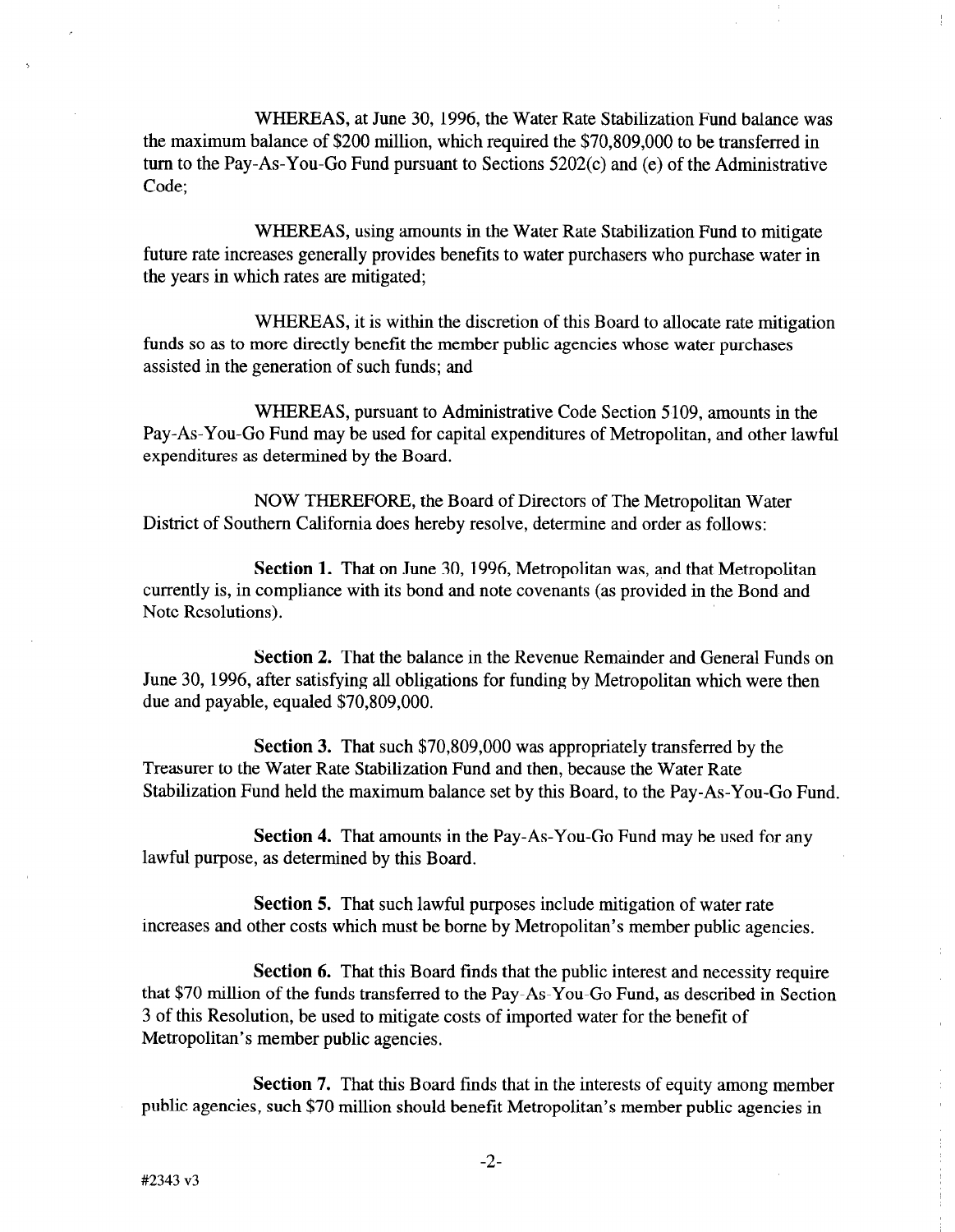WHEREAS, at June 30, 1996, the Water Rate Stabilization Fund balance was the maximum balance of \$200 million, which required the  $$70,809,000$  to be transferred in turn to the Pay-As-You-Go Fund pursuant to Sections 5202(c) and (e) of the Administrative Code;

WHEREAS, using amounts in the Water Rate Stabilization Fund to mitigate future rate increases generally provides benefits to water purchasers who purchase water in the years in which rates are mitigated;

WHEREAS, it is within the discretion of this Board to allocate rate mitigation funds so as to more directly benefit the member public agencies whose water purchases assisted in the generation of such funds; and

WHEREAS, pursuant to Administrative Code Section 5 109, amounts in the Pay-As-You-Go Fund may be used for capital expenditures of Metropolitan, and other lawful expenditures as determined by the Board.

NOW THEREFORE, the Board of Directors of The Metropolitan Water District of Southern California does hereby resolve, determine and order as follows:

Section 1. That on June 30, 1996, Metropolitan was, and that Metropolitan currently is, in compliance with its bond and note covenants (as provided in the Bond and Note Resolutions).

Section 2. That the balance in the Revenue Remainder and General Funds on June 30, 1996, after satisfying all obligations for funding by Metropolitan which were then due and payable, equaled \$70,809,000.

Section 3. That such \$70,809,000 was appropriately transferred by the Treasurer to the Water Rate Stabilization Fund and then, because the Water Rate Stabilization Fund held the maximum balance set by this Board, to the Pay-As-You-Go Fund.

Section 4. That amounts in the Pay-As-You-Go Fund may be used for any lawful purpose, as determined by this Board.

Section 5. That such lawful purposes include mitigation of water rate increases and other costs which must be borne by Metropolitan's member public agencies.

Section 6. That this Board finds that the public interest and necessity require that \$70 million of the funds transferred to the Pay-As-You-Go Fund, as described in Section 3 of this Resolution, be used to mitigate costs of imported water for the benefit of Metropolitan's member public agencies.

Section 7. That this Board finds that in the interests of equity among member public agencies, such \$70 million should benefit Metropolitan's member public agencies in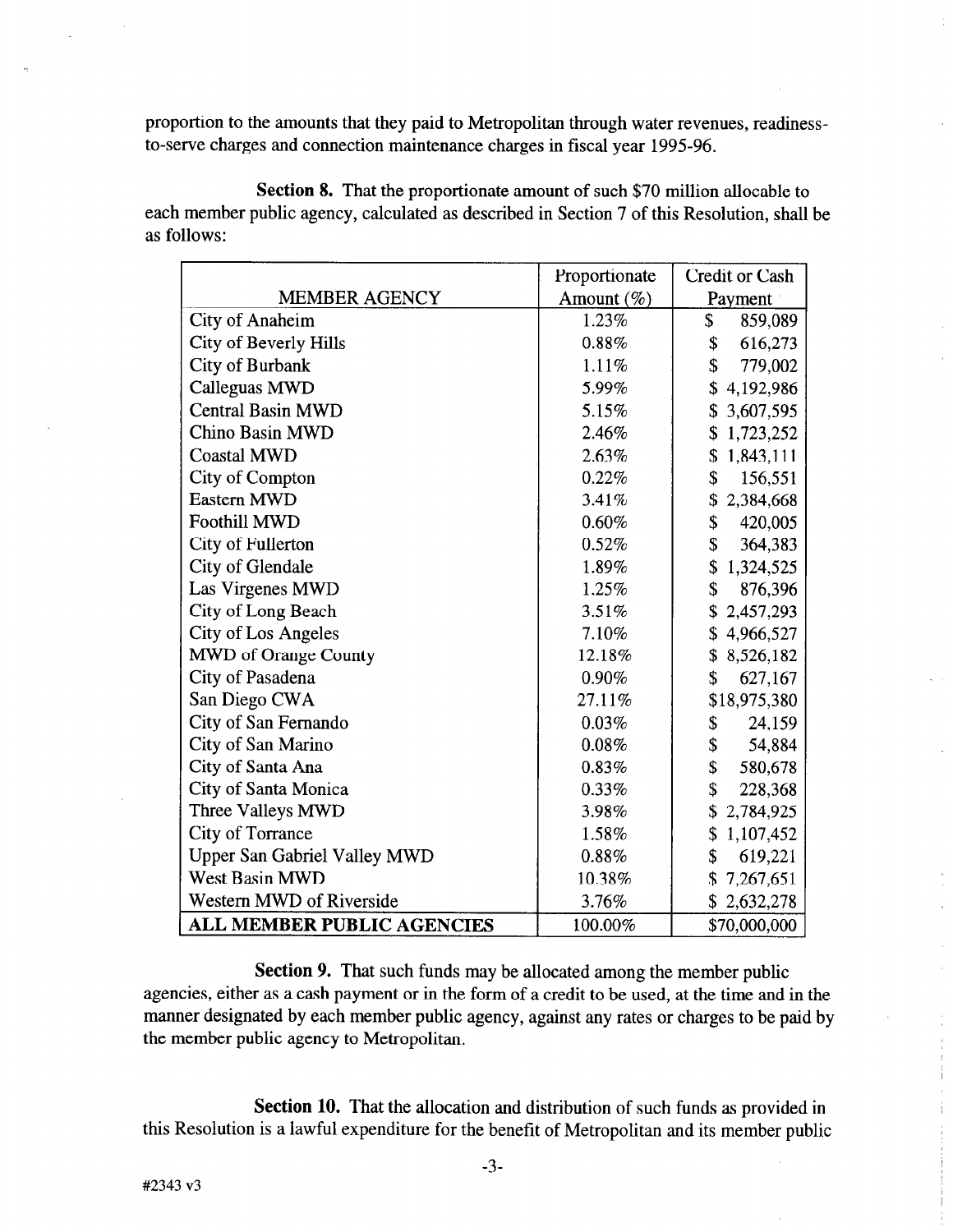proportion to the amounts that they paid to Metropolitan through water revenues, readinessto-serve charges and connection maintenance charges in fiscal year 1995-96.

Section 8. That the proportionate amount of such \$70 million allocable to each member public agency, calculated as described in Section 7 of this Resolution, shall be as follows:

|                                     | Proportionate | <b>Credit or Cash</b> |
|-------------------------------------|---------------|-----------------------|
| <b>MEMBER AGENCY</b>                | Amount $(\%)$ | Payment               |
| City of Anaheim                     | 1.23%         | \$<br>859,089         |
| City of Beverly Hills               | 0.88%         | \$<br>616,273         |
| <b>City of Burbank</b>              | 1.11%         | \$<br>779,002         |
| <b>Calleguas MWD</b>                | 5.99%         | \$<br>4,192,986       |
| <b>Central Basin MWD</b>            | 5.15%         | 3,607,595             |
| <b>Chino Basin MWD</b>              | 2.46%         | \$<br>1,723,252       |
| <b>Coastal MWD</b>                  | 2.63%         | \$1,843,111           |
| <b>City of Compton</b>              | 0.22%         | \$<br>156,551         |
| <b>Eastern MWD</b>                  | 3.41%         | 2,384,668<br>\$       |
| <b>Foothill MWD</b>                 | 0.60%         | \$<br>420,005         |
| <b>City of Fullerton</b>            | 0.52%         | \$<br>364,383         |
| City of Glendale                    | 1.89%         | \$<br>1,324,525       |
| Las Virgenes MWD                    | 1.25%         | \$<br>876,396         |
| City of Long Beach                  | 3.51%         | \$<br>2,457,293       |
| <b>City of Los Angeles</b>          | 7.10%         | \$4,966,527           |
| MWD of Orange County                | 12.18%        | \$8,526,182           |
| City of Pasadena                    | 0.90%         | \$<br>627,167         |
| San Diego CWA                       | 27.11%        | \$18,975,380          |
| City of San Fernando                | 0.03%         | \$<br>24,159          |
| City of San Marino                  | 0.08%         | \$<br>54,884          |
| City of Santa Ana                   | 0.83%         | \$<br>580,678         |
| City of Santa Monica                | 0.33%         | \$<br>228,368         |
| Three Valleys MWD                   | 3.98%         | \$<br>2,784,925       |
| <b>City of Torrance</b>             | 1.58%         | \$<br>1,107,452       |
| <b>Upper San Gabriel Valley MWD</b> | 0.88%         | \$<br>619,221         |
| <b>West Basin MWD</b>               | 10.38%        | 7,267,651<br>\$       |
| Western MWD of Riverside            | 3.76%         | \$2,632,278           |
| <b>ALL MEMBER PUBLIC AGENCIES</b>   | 100.00%       | \$70,000,000          |

Section 9. That such funds may be allocated among the member public agencies, either as a cash payment or in the form of a credit to be used, at the time and in the agencies, entre as a cash public or in the form of a create to be used, at the time and in the  $t_{\text{t}}$  and  $t_{\text{t}}$  are member public and  $t_{\text{t}}$ 

Section 10. That the allocation and distribution of such funds as provided in this Resolution is a lawful expenditure for the benefit of Metropolitan and its member public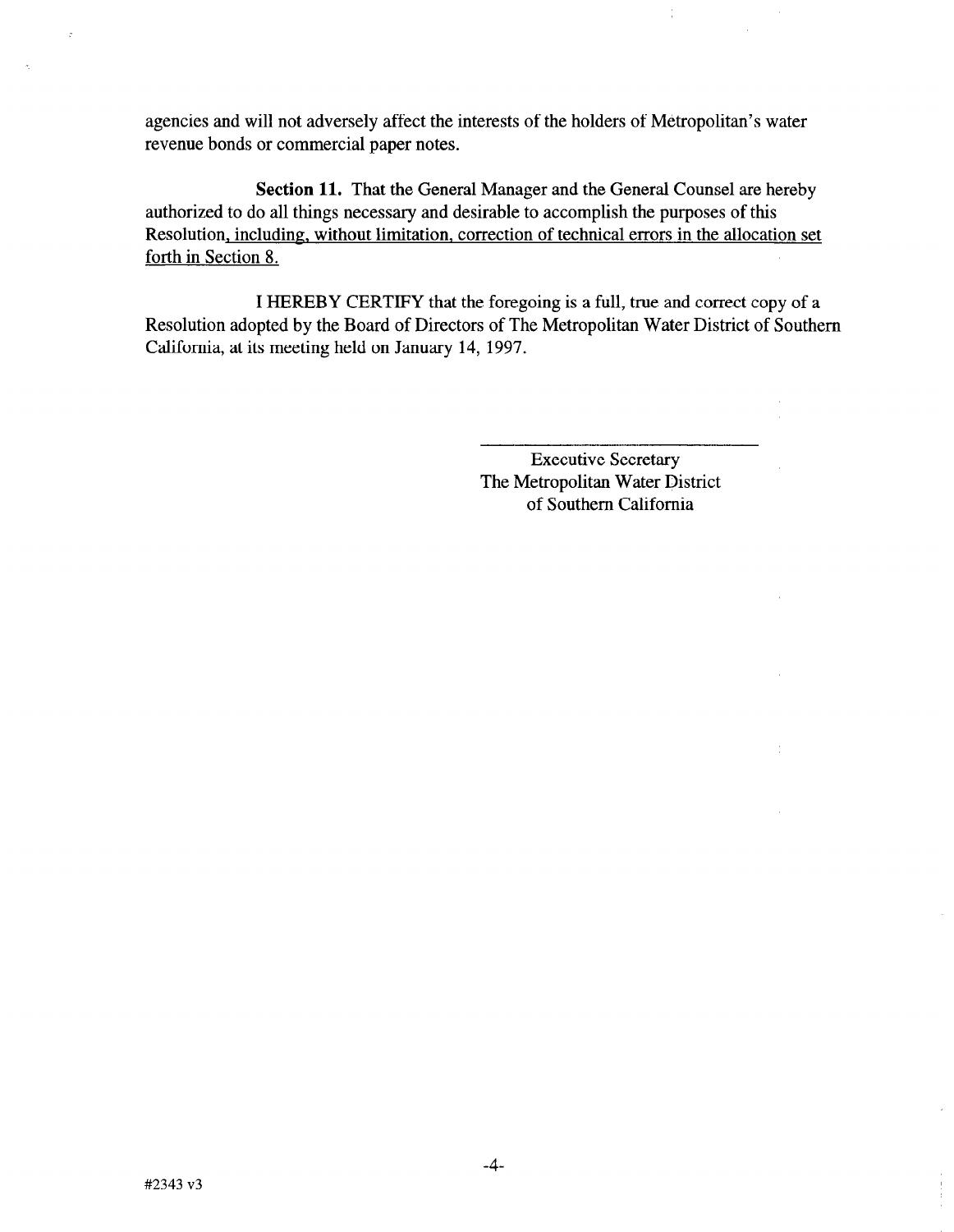agencies and will not adversely affect the interests of the holders of Metropolitan's water revenue bonds or commercial paper notes.

Section 11. That the General Manager and the General Counsel are hereby authorized to do all things necessary and desirable to accomplish the purposes of this Resolution, including, without limitation, correction of technical errors in the allocation set forth in Section 8.

I HEREBY CERTIFY that the foregoing is a full, true and correct copy of a Resolution adopted by the Board of Directors of The Metropolitan Water District of Southern California, at its meeting held on January 14, 1997.

> Executive Secretary The Metropolitan Water District of Southern California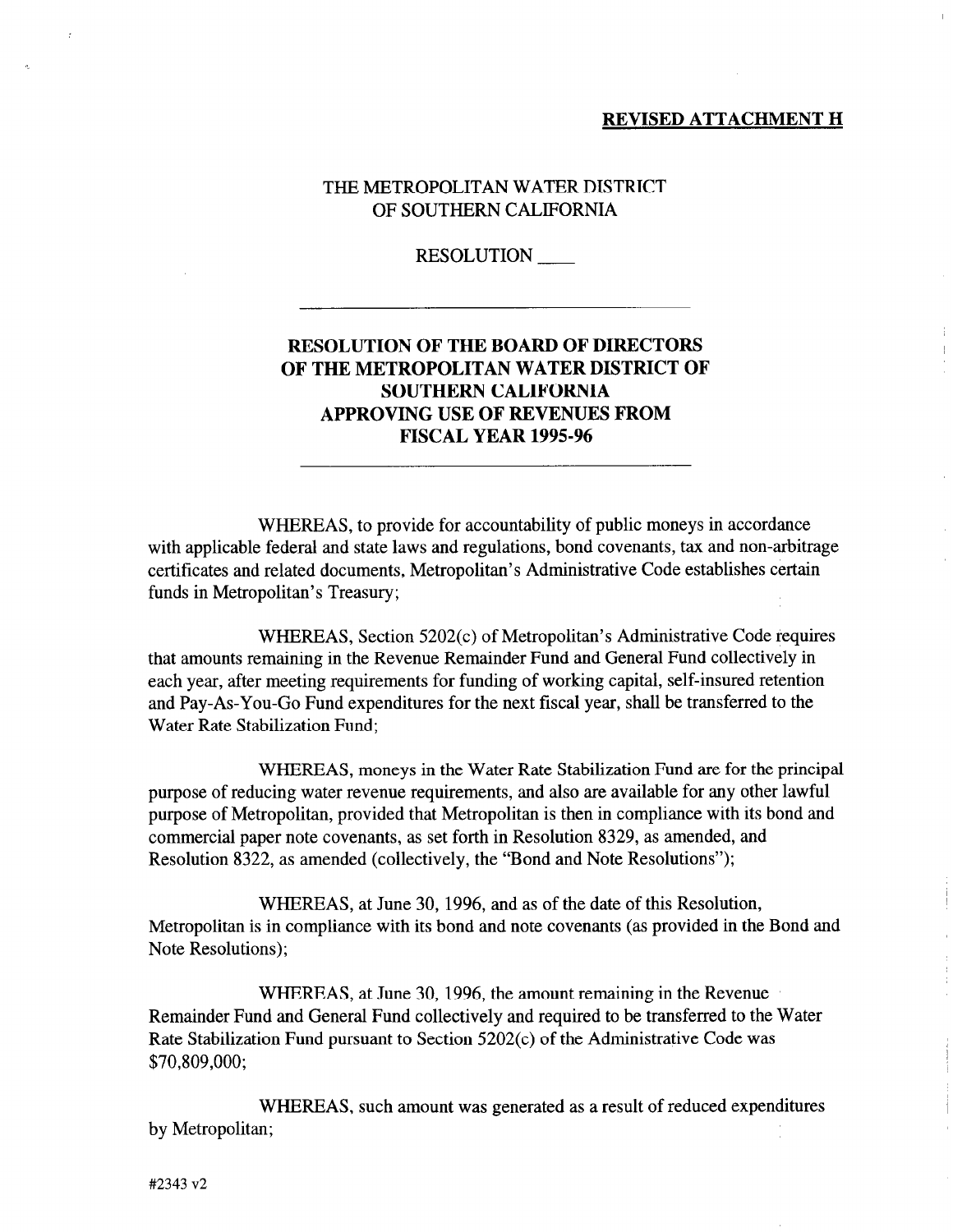#### REVISED ATTACHMENT H

## THE METROPOLITAN WATER DISTRICT OF SOUTHERN CALIFORNIA

RESOLUTION

# RESOLUTION OF THE BOARD OF DIRECTORS OF THE METROPOLITAN WATER DISTRICT OF SOUTHERN CALIFORNIA APPROVING USE OF REVENUES FROM **FISCAL YEAR 1995-96**

WHEREAS, to provide for accountability of public moneys in accordance with applicable federal and state laws and regulations, bond covenants, tax and non-arbitrage certificates and related documents, Metropolitan's Administrative Code establishes certain funds in Metropolitan's Treasury;

WHEREAS, Section 5202(c) of Metropolitan's Administrative Code requires that amounts remaining in the Revenue Remainder Fund and General Fund collectively in each year, after meeting requirements for funding of working capital, self-insured retention and Pay-As-You-Go Fund expenditures for the next fiscal year, shall be transferred to the Water Rate Stabilization Fund;

WHEREAS, moneys in the Water Rate Stabilization Fund are for the principal purpose of reducing water revenue requirements, and also are available for any other lawful purpose of Metropolitan, provided that Metropolitan is then in compliance with its bond and commercial paper note covenants, as set forth in Resolution 8329, as amended, and Resolution 8322, as amended (collectively, the "Bond and Note Resolutions");

WHEREAS, at June 30, 1996, and as of the date of this Resolution, Metropolitan is in compliance with its bond and note covenants (as provided in the Bond and Note Resolutions);

WHEREAS, at June 30, 1996, the amount remaining in the Revenue Remainder Fund and General Fund collectively and required to be transferred to the Water Rate Stabilization Fund pursuant to Section 5202(c) of the Administrative Code was \$70,809,000;

WHEREAS, such amount was generated as a result of reduced expenditures by Metropolitan;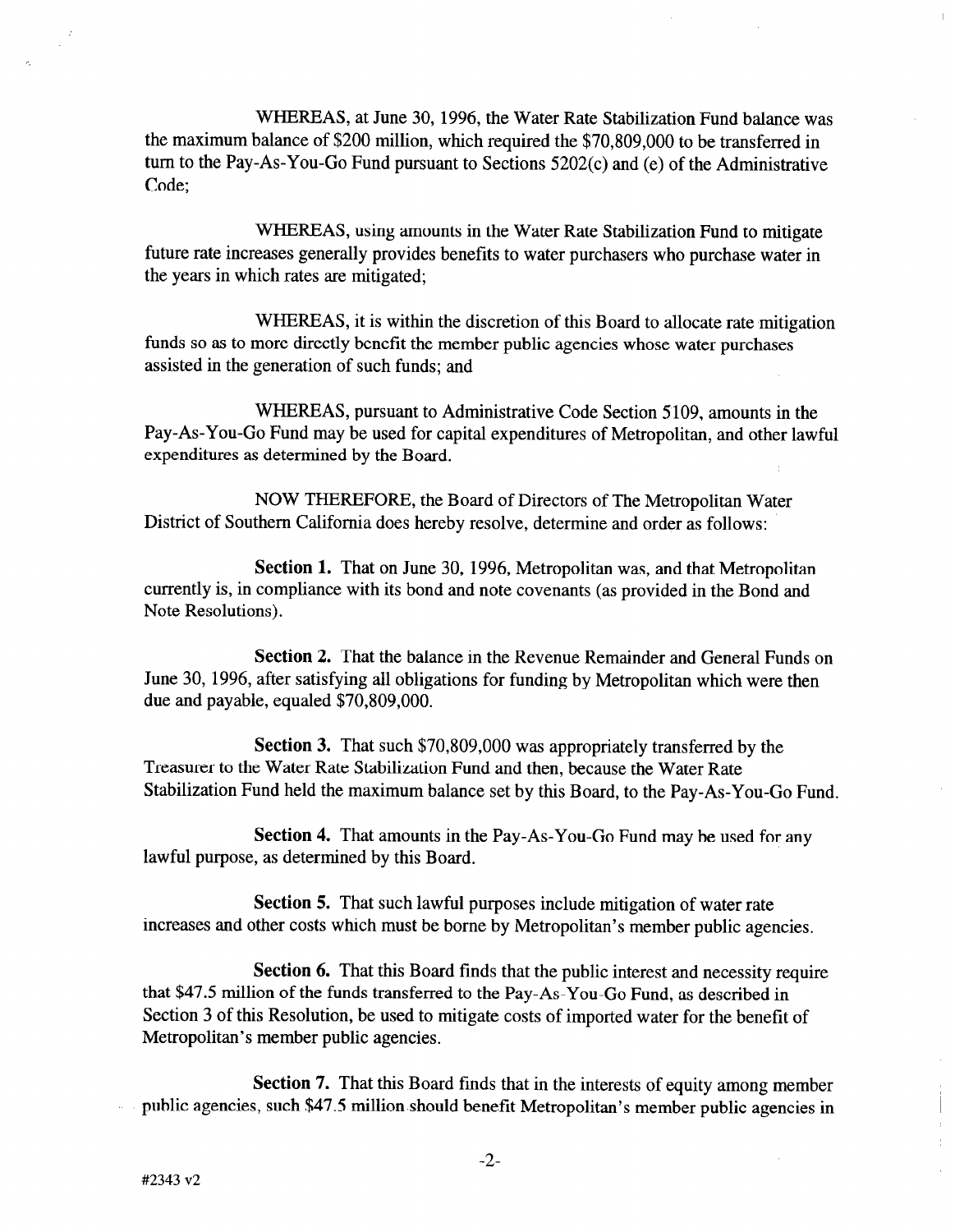WHEREAS, at June 30, 1996, the Water Rate Stabilization Fund balance was the maximum balance of \$200 million, which required the \$70,809,000 to be transferred in turn to the Pay-As-You-Go Fund pursuant to Sections 5202(c) and (e) of the Administrative Code;

WHEREAS, using amounts in the Water Rate Stabilization Fund to mitigate future rate increases generally provides benefits to water purchasers who purchase water in the years in which rates are mitigated;

WHEREAS, it is within the discretion of this Board to allocate rate mitigation funds so as to more directly benefit the member public agencies whose water purchases assisted in the generation of such funds; and

WHEREAS, pursuant to Administrative Code Section 5109, amounts in the Pay-As-You-Go Fund may be used for capital expenditures of Metropolitan, and other lawful expenditures as determined by the Board.

NOW THEREFORE, the Board of Directors of The Metropolitan Water District of Southern California does hereby resolve, determine and order as follows:

Section 1. That on June 30, 1996, Metropolitan was, and that Metropolitan currently is, in compliance with its bond and note covenants (as provided in the Bond and Note Resolutions).

Section 2. That the balance in the Revenue Remainder and General Funds on June 30, 1996, after satisfying all obligations for funding by Metropolitan which were then due and payable, equaled \$70,809,000.

Section 3. That such \$70,809,000 was appropriately transferred by the Treasurer to the Water Rate Stabilization Fund and then, because the Water Rate Stabilization Fund held the maximum balance set by this Board, to the Pay-As-You-Go Fund.

Section 4. That amounts in the Pay-As-You-Go Fund may be used for any lawful purpose, as determined by this Board.

Section 5. That such lawful purposes include mitigation of water rate increases and other costs which must be borne by Metropolitan's member public agencies.

Section 6. That this Board finds that the public interest and necessity require that \$47.5 million of the funds transferred to the Pay-As-You-Go Fund, as described in Section 3 of this Resolution, be used to mitigate costs of imported water for the benefit of Metropolitan's member public agencies.

Section 7. That this Board finds that in the interests of equity among member public agencies, such \$47.5 million should benefit Metropolitan's member public agencies in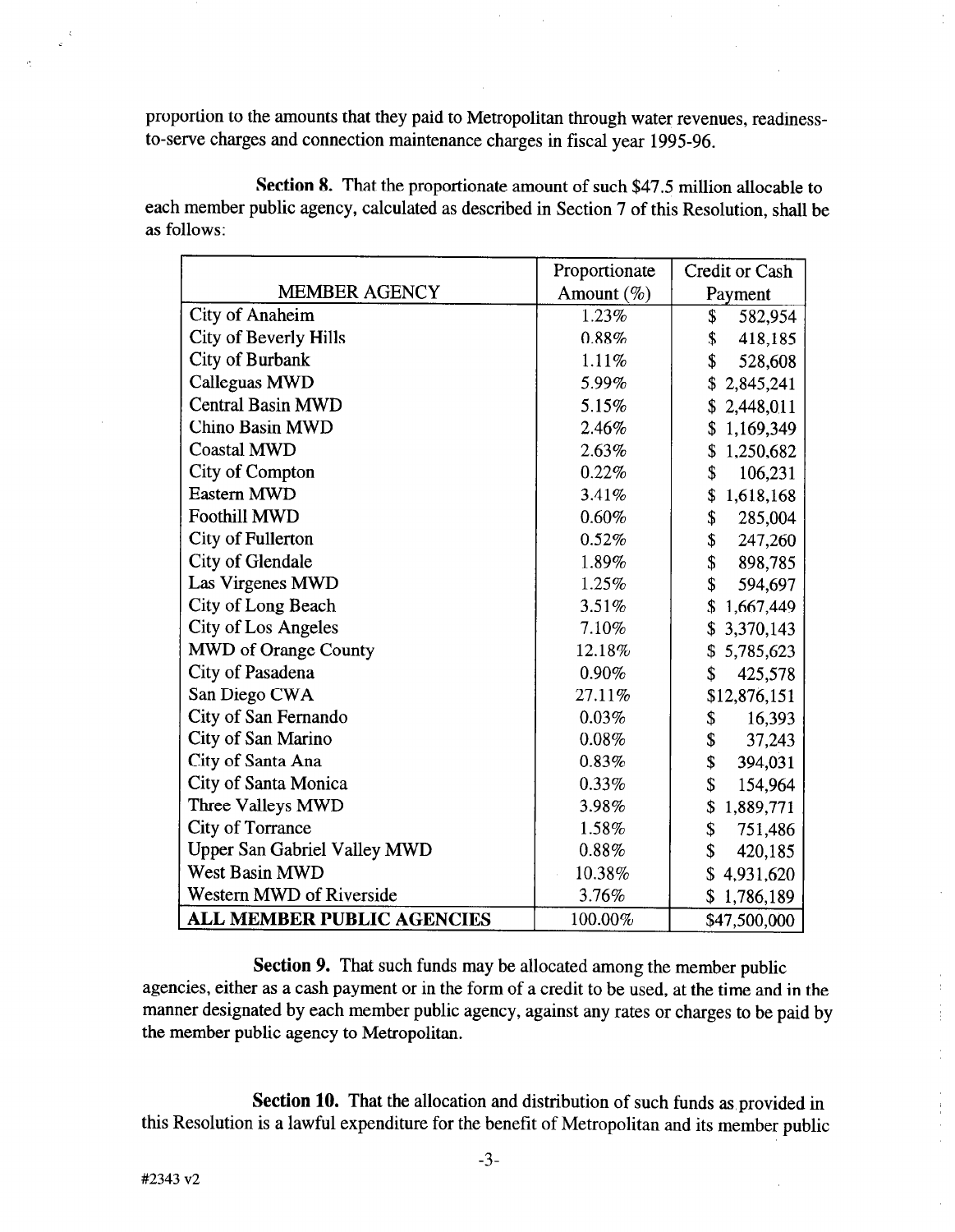proportion to the amounts that they paid to Metropolitan through water revenues, readinessto-serve charges and connection maintenance charges in fiscal year 1995-96.

Section 8. That the proportionate amount of such \$47.5 million allocable to each member public agency, calculated as described in Section 7 of this Resolution, shall be as follows:

|                                     | Proportionate | <b>Credit or Cash</b> |
|-------------------------------------|---------------|-----------------------|
| <b>MEMBER AGENCY</b>                | Amount $(\%)$ | Payment               |
| <b>City of Anaheim</b>              | 1.23%         | \$<br>582,954         |
| <b>City of Beverly Hills</b>        | 0.88%         | \$<br>418,185         |
| City of Burbank                     | 1.11%         | \$<br>528,608         |
| Calleguas MWD                       | 5.99%         | \$<br>2,845,241       |
| <b>Central Basin MWD</b>            | 5.15%         | \$<br>2,448,011       |
| <b>Chino Basin MWD</b>              | 2.46%         | \$<br>1,169,349       |
| <b>Coastal MWD</b>                  | 2.63%         | 1,250,682<br>\$       |
| <b>City of Compton</b>              | 0.22%         | \$<br>106,231         |
| <b>Eastern MWD</b>                  | 3.41%         | \$<br>1,618,168       |
| <b>Foothill MWD</b>                 | 0.60%         | \$<br>285,004         |
| <b>City of Fullerton</b>            | 0.52%         | \$<br>247,260         |
| City of Glendale                    | 1.89%         | \$<br>898,785         |
| Las Virgenes MWD                    | 1.25%         | \$<br>594,697         |
| City of Long Beach                  | 3.51%         | \$<br>1,667,449       |
| <b>City of Los Angeles</b>          | 7.10%         | \$3,370,143           |
| <b>MWD</b> of Orange County         | 12.18%        | \$5,785,623           |
| City of Pasadena                    | 0.90%         | \$<br>425,578         |
| San Diego CWA                       | 27.11%        | \$12,876,151          |
| City of San Fernando                | 0.03%         | 16,393<br>\$          |
| City of San Marino                  | 0.08%         | \$<br>37,243          |
| City of Santa Ana                   | 0.83%         | \$<br>394,031         |
| City of Santa Monica                | 0.33%         | \$<br>154,964         |
| Three Valleys MWD                   | 3.98%         | \$<br>1,889,771       |
| <b>City of Torrance</b>             | 1.58%         | \$<br>751,486         |
| <b>Upper San Gabriel Valley MWD</b> | 0.88%         | \$<br>420,185         |
| West Basin MWD                      | 10.38%        | \$<br>4,931,620       |
| Western MWD of Riverside            | 3.76%         | 1,786,189<br>\$       |
| <b>ALL MEMBER PUBLIC AGENCIES</b>   | 100.00%       | \$47,500,000          |

Section 9. That such funds may be allocated among the member public agencies, either as a cash payment or in the form of a credit to be used, at the time and in the manner designated by each member public agency, against any rates or charges to be paid by the member public agency to Metropolitan.

 $\frac{1}{2}$ ÷.

 $\frac{1}{2}$ 

Section 10. That the allocation and distribution of such funds as provided in this Resolution is a lawful expenditure for the benefit of Metropolitan and its member public